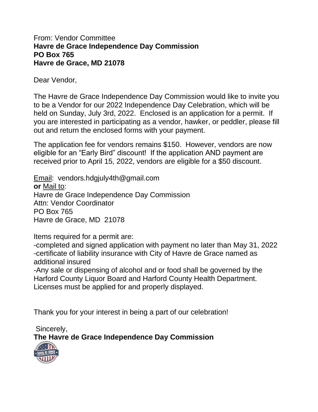## From: Vendor Committee **Havre de Grace Independence Day Commission PO Box 765 Havre de Grace, MD 21078**

Dear Vendor,

The Havre de Grace Independence Day Commission would like to invite you to be a Vendor for our 2022 Independence Day Celebration, which will be held on Sunday, July 3rd, 2022. Enclosed is an application for a permit. If you are interested in participating as a vendor, hawker, or peddler, please fill out and return the enclosed forms with your payment.

The application fee for vendors remains \$150. However, vendors are now eligible for an "Early Bird" discount! If the application AND payment are received prior to April 15, 2022, vendors are eligible for a \$50 discount.

Email: vendors.hdgjuly4th@gmail.com **or** Mail to: Havre de Grace Independence Day Commission Attn: Vendor Coordinator PO Box 765 Havre de Grace, MD 21078

Items required for a permit are:

-completed and signed application with payment no later than May 31, 2022 -certificate of liability insurance with City of Havre de Grace named as additional insured

-Any sale or dispensing of alcohol and or food shall be governed by the Harford County Liquor Board and Harford County Health Department. Licenses must be applied for and properly displayed.

Thank you for your interest in being a part of our celebration!

Sincerely, **The Havre de Grace Independence Day Commission**

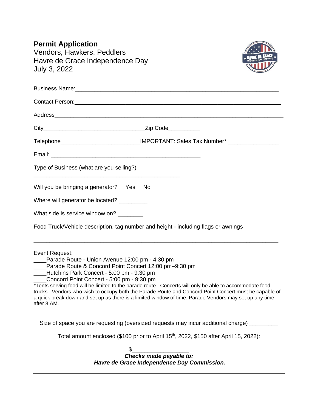| <b>Permit Application</b>                                                                                                                                                                                                                                                                                                                                                                                                                                                                                                                                        |
|------------------------------------------------------------------------------------------------------------------------------------------------------------------------------------------------------------------------------------------------------------------------------------------------------------------------------------------------------------------------------------------------------------------------------------------------------------------------------------------------------------------------------------------------------------------|
| Vendors, Hawkers, Peddlers                                                                                                                                                                                                                                                                                                                                                                                                                                                                                                                                       |
| Havre de Grace Independence Day                                                                                                                                                                                                                                                                                                                                                                                                                                                                                                                                  |
| July 3, 2022                                                                                                                                                                                                                                                                                                                                                                                                                                                                                                                                                     |
| Business Name: <b>Manual According to the Contract of According to the Contract of According to the Contract of According to the Contract of According to the Contract of According to the Contract of According to the Contract</b>                                                                                                                                                                                                                                                                                                                             |
| Contact Person: <u>Contact Person</u>                                                                                                                                                                                                                                                                                                                                                                                                                                                                                                                            |
| Address and the contract of the contract of the contract of the contract of the contract of the contract of the contract of the contract of the contract of the contract of the contract of the contract of the contract of th                                                                                                                                                                                                                                                                                                                                   |
|                                                                                                                                                                                                                                                                                                                                                                                                                                                                                                                                                                  |
| Telephone______________________________IMPORTANT: Sales Tax Number* ____________                                                                                                                                                                                                                                                                                                                                                                                                                                                                                 |
|                                                                                                                                                                                                                                                                                                                                                                                                                                                                                                                                                                  |
| Type of Business (what are you selling?)                                                                                                                                                                                                                                                                                                                                                                                                                                                                                                                         |
| Will you be bringing a generator? Yes No                                                                                                                                                                                                                                                                                                                                                                                                                                                                                                                         |
| Where will generator be located? __________                                                                                                                                                                                                                                                                                                                                                                                                                                                                                                                      |
| What side is service window on? ________                                                                                                                                                                                                                                                                                                                                                                                                                                                                                                                         |
| Food Truck/Vehicle description, tag number and height - including flags or awnings                                                                                                                                                                                                                                                                                                                                                                                                                                                                               |
| Event Request:<br>Parade Route - Union Avenue 12:00 pm - 4:30 pm<br>Parade Route & Concord Point Concert 12:00 pm-9:30 pm<br>Hutchins Park Concert - 5:00 pm - 9:30 pm<br>Concord Point Concert - 5:00 pm - 9:30 pm<br>*Tents serving food will be limited to the parade route. Concerts will only be able to accommodate food<br>trucks. Vendors who wish to occupy both the Parade Route and Concord Point Concert must be capable of<br>a quick break down and set up as there is a limited window of time. Parade Vendors may set up any time<br>after 8 AM. |
| Size of space you are requesting (oversized requests may incur additional charge)                                                                                                                                                                                                                                                                                                                                                                                                                                                                                |
| Total amount enclosed (\$100 prior to April 15 <sup>th</sup> , 2022, \$150 after April 15, 2022):                                                                                                                                                                                                                                                                                                                                                                                                                                                                |
|                                                                                                                                                                                                                                                                                                                                                                                                                                                                                                                                                                  |
| Checks made payable to:<br>Havre de Grace Independence Day Commission.                                                                                                                                                                                                                                                                                                                                                                                                                                                                                           |
|                                                                                                                                                                                                                                                                                                                                                                                                                                                                                                                                                                  |